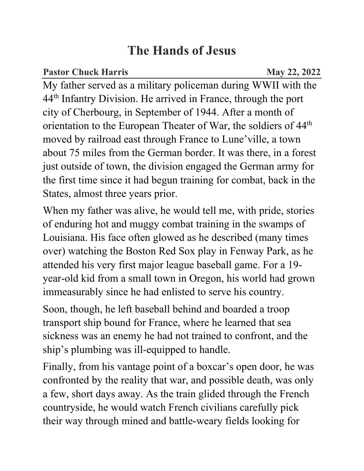## **The Hands of Jesus**

**Pastor Chuck Harris May 22, 2022** 

My father served as a military policeman during WWII with the 44th Infantry Division. He arrived in France, through the port city of Cherbourg, in September of 1944. After a month of orientation to the European Theater of War, the soldiers of 44th moved by railroad east through France to Lune'ville, a town about 75 miles from the German border. It was there, in a forest just outside of town, the division engaged the German army for the first time since it had begun training for combat, back in the States, almost three years prior.

When my father was alive, he would tell me, with pride, stories of enduring hot and muggy combat training in the swamps of Louisiana. His face often glowed as he described (many times over) watching the Boston Red Sox play in Fenway Park, as he attended his very first major league baseball game. For a 19 year-old kid from a small town in Oregon, his world had grown immeasurably since he had enlisted to serve his country.

Soon, though, he left baseball behind and boarded a troop transport ship bound for France, where he learned that sea sickness was an enemy he had not trained to confront, and the ship's plumbing was ill-equipped to handle.

Finally, from his vantage point of a boxcar's open door, he was confronted by the reality that war, and possible death, was only a few, short days away. As the train glided through the French countryside, he would watch French civilians carefully pick their way through mined and battle-weary fields looking for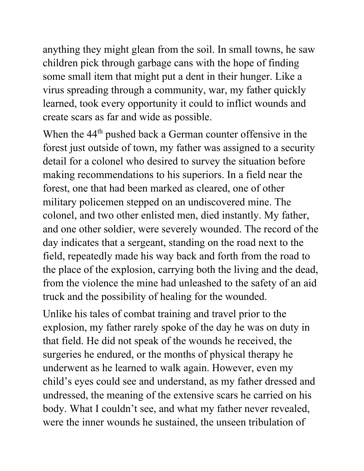anything they might glean from the soil. In small towns, he saw children pick through garbage cans with the hope of finding some small item that might put a dent in their hunger. Like a virus spreading through a community, war, my father quickly learned, took every opportunity it could to inflict wounds and create scars as far and wide as possible.

When the 44<sup>th</sup> pushed back a German counter offensive in the forest just outside of town, my father was assigned to a security detail for a colonel who desired to survey the situation before making recommendations to his superiors. In a field near the forest, one that had been marked as cleared, one of other military policemen stepped on an undiscovered mine. The colonel, and two other enlisted men, died instantly. My father, and one other soldier, were severely wounded. The record of the day indicates that a sergeant, standing on the road next to the field, repeatedly made his way back and forth from the road to the place of the explosion, carrying both the living and the dead, from the violence the mine had unleashed to the safety of an aid truck and the possibility of healing for the wounded.

Unlike his tales of combat training and travel prior to the explosion, my father rarely spoke of the day he was on duty in that field. He did not speak of the wounds he received, the surgeries he endured, or the months of physical therapy he underwent as he learned to walk again. However, even my child's eyes could see and understand, as my father dressed and undressed, the meaning of the extensive scars he carried on his body. What I couldn't see, and what my father never revealed, were the inner wounds he sustained, the unseen tribulation of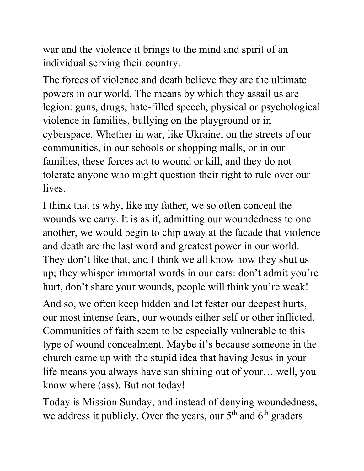war and the violence it brings to the mind and spirit of an individual serving their country.

The forces of violence and death believe they are the ultimate powers in our world. The means by which they assail us are legion: guns, drugs, hate-filled speech, physical or psychological violence in families, bullying on the playground or in cyberspace. Whether in war, like Ukraine, on the streets of our communities, in our schools or shopping malls, or in our families, these forces act to wound or kill, and they do not tolerate anyone who might question their right to rule over our lives.

I think that is why, like my father, we so often conceal the wounds we carry. It is as if, admitting our woundedness to one another, we would begin to chip away at the facade that violence and death are the last word and greatest power in our world. They don't like that, and I think we all know how they shut us up; they whisper immortal words in our ears: don't admit you're hurt, don't share your wounds, people will think you're weak!

And so, we often keep hidden and let fester our deepest hurts, our most intense fears, our wounds either self or other inflicted. Communities of faith seem to be especially vulnerable to this type of wound concealment. Maybe it's because someone in the church came up with the stupid idea that having Jesus in your life means you always have sun shining out of your… well, you know where (ass). But not today!

Today is Mission Sunday, and instead of denying woundedness, we address it publicly. Over the years, our  $5<sup>th</sup>$  and  $6<sup>th</sup>$  graders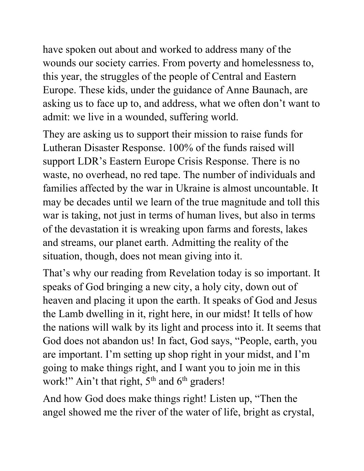have spoken out about and worked to address many of the wounds our society carries. From poverty and homelessness to, this year, the struggles of the people of Central and Eastern Europe. These kids, under the guidance of Anne Baunach, are asking us to face up to, and address, what we often don't want to admit: we live in a wounded, suffering world.

They are asking us to support their mission to raise funds for Lutheran Disaster Response. 100% of the funds raised will support LDR's Eastern Europe Crisis Response. There is no waste, no overhead, no red tape. The number of individuals and families affected by the war in Ukraine is almost uncountable. It may be decades until we learn of the true magnitude and toll this war is taking, not just in terms of human lives, but also in terms of the devastation it is wreaking upon farms and forests, lakes and streams, our planet earth. Admitting the reality of the situation, though, does not mean giving into it.

That's why our reading from Revelation today is so important. It speaks of God bringing a new city, a holy city, down out of heaven and placing it upon the earth. It speaks of God and Jesus the Lamb dwelling in it, right here, in our midst! It tells of how the nations will walk by its light and process into it. It seems that God does not abandon us! In fact, God says, "People, earth, you are important. I'm setting up shop right in your midst, and I'm going to make things right, and I want you to join me in this work!" Ain't that right, 5<sup>th</sup> and 6<sup>th</sup> graders!

And how God does make things right! Listen up, "Then the angel showed me the river of the water of life, bright as crystal,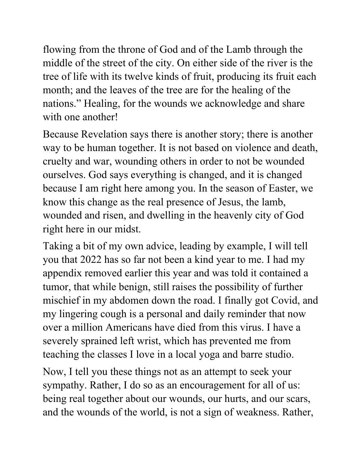flowing from the throne of God and of the Lamb through the middle of the street of the city. On either side of the river is the tree of life with its twelve kinds of fruit, producing its fruit each month; and the leaves of the tree are for the healing of the nations." Healing, for the wounds we acknowledge and share with one another!

Because Revelation says there is another story; there is another way to be human together. It is not based on violence and death, cruelty and war, wounding others in order to not be wounded ourselves. God says everything is changed, and it is changed because I am right here among you. In the season of Easter, we know this change as the real presence of Jesus, the lamb, wounded and risen, and dwelling in the heavenly city of God right here in our midst.

Taking a bit of my own advice, leading by example, I will tell you that 2022 has so far not been a kind year to me. I had my appendix removed earlier this year and was told it contained a tumor, that while benign, still raises the possibility of further mischief in my abdomen down the road. I finally got Covid, and my lingering cough is a personal and daily reminder that now over a million Americans have died from this virus. I have a severely sprained left wrist, which has prevented me from teaching the classes I love in a local yoga and barre studio.

Now, I tell you these things not as an attempt to seek your sympathy. Rather, I do so as an encouragement for all of us: being real together about our wounds, our hurts, and our scars, and the wounds of the world, is not a sign of weakness. Rather,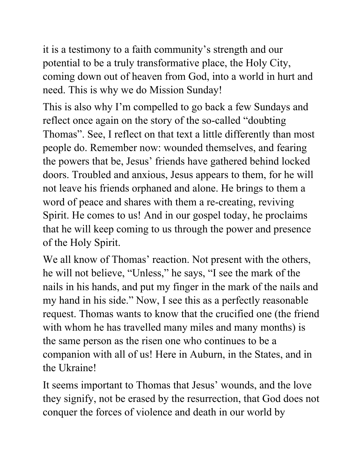it is a testimony to a faith community's strength and our potential to be a truly transformative place, the Holy City, coming down out of heaven from God, into a world in hurt and need. This is why we do Mission Sunday!

This is also why I'm compelled to go back a few Sundays and reflect once again on the story of the so-called "doubting Thomas". See, I reflect on that text a little differently than most people do. Remember now: wounded themselves, and fearing the powers that be, Jesus' friends have gathered behind locked doors. Troubled and anxious, Jesus appears to them, for he will not leave his friends orphaned and alone. He brings to them a word of peace and shares with them a re-creating, reviving Spirit. He comes to us! And in our gospel today, he proclaims that he will keep coming to us through the power and presence of the Holy Spirit.

We all know of Thomas' reaction. Not present with the others, he will not believe, "Unless," he says, "I see the mark of the nails in his hands, and put my finger in the mark of the nails and my hand in his side." Now, I see this as a perfectly reasonable request. Thomas wants to know that the crucified one (the friend with whom he has travelled many miles and many months) is the same person as the risen one who continues to be a companion with all of us! Here in Auburn, in the States, and in the Ukraine!

It seems important to Thomas that Jesus' wounds, and the love they signify, not be erased by the resurrection, that God does not conquer the forces of violence and death in our world by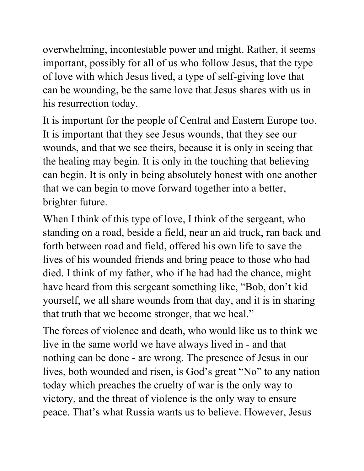overwhelming, incontestable power and might. Rather, it seems important, possibly for all of us who follow Jesus, that the type of love with which Jesus lived, a type of self-giving love that can be wounding, be the same love that Jesus shares with us in his resurrection today.

It is important for the people of Central and Eastern Europe too. It is important that they see Jesus wounds, that they see our wounds, and that we see theirs, because it is only in seeing that the healing may begin. It is only in the touching that believing can begin. It is only in being absolutely honest with one another that we can begin to move forward together into a better, brighter future.

When I think of this type of love, I think of the sergeant, who standing on a road, beside a field, near an aid truck, ran back and forth between road and field, offered his own life to save the lives of his wounded friends and bring peace to those who had died. I think of my father, who if he had had the chance, might have heard from this sergeant something like, "Bob, don't kid yourself, we all share wounds from that day, and it is in sharing that truth that we become stronger, that we heal."

The forces of violence and death, who would like us to think we live in the same world we have always lived in - and that nothing can be done - are wrong. The presence of Jesus in our lives, both wounded and risen, is God's great "No" to any nation today which preaches the cruelty of war is the only way to victory, and the threat of violence is the only way to ensure peace. That's what Russia wants us to believe. However, Jesus